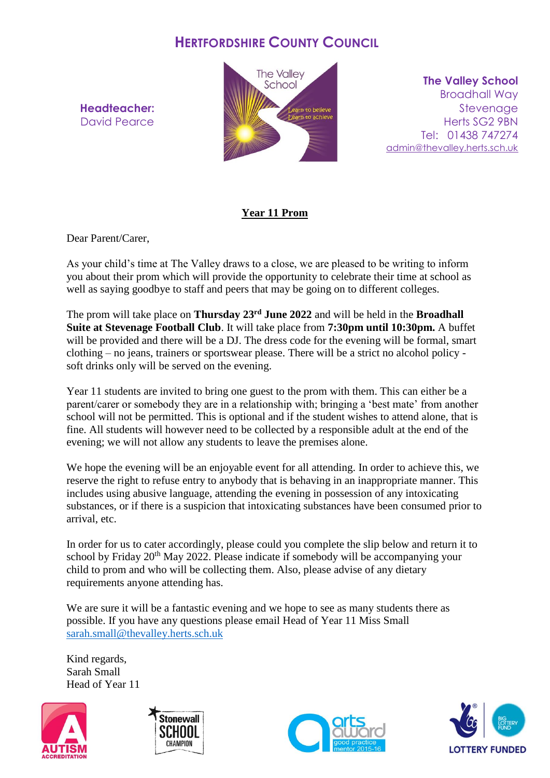## **HERTFORDSHIRE COUNTY COUNCIL**

**Headteacher:** David Pearce



**The Valley School** Broadhall Way **Stevenage** Herts SG2 9BN Tel: 01438 747274 [admin@thevalley.herts.sch.uk](mailto:admin@thevalley.herts.sch.uk)

## **Year 11 Prom**

Dear Parent/Carer,

As your child's time at The Valley draws to a close, we are pleased to be writing to inform you about their prom which will provide the opportunity to celebrate their time at school as well as saying goodbye to staff and peers that may be going on to different colleges.

The prom will take place on **Thursday 23rd June 2022** and will be held in the **Broadhall Suite at Stevenage Football Club**. It will take place from **7:30pm until 10:30pm.** A buffet will be provided and there will be a DJ. The dress code for the evening will be formal, smart clothing – no jeans, trainers or sportswear please. There will be a strict no alcohol policy soft drinks only will be served on the evening.

Year 11 students are invited to bring one guest to the prom with them. This can either be a parent/carer or somebody they are in a relationship with; bringing a 'best mate' from another school will not be permitted. This is optional and if the student wishes to attend alone, that is fine. All students will however need to be collected by a responsible adult at the end of the evening; we will not allow any students to leave the premises alone.

We hope the evening will be an enjoyable event for all attending. In order to achieve this, we reserve the right to refuse entry to anybody that is behaving in an inappropriate manner. This includes using abusive language, attending the evening in possession of any intoxicating substances, or if there is a suspicion that intoxicating substances have been consumed prior to arrival, etc.

In order for us to cater accordingly, please could you complete the slip below and return it to school by Friday 20<sup>th</sup> May 2022. Please indicate if somebody will be accompanying your child to prom and who will be collecting them. Also, please advise of any dietary requirements anyone attending has.

We are sure it will be a fantastic evening and we hope to see as many students there as possible. If you have any questions please email Head of Year 11 Miss Small [sarah.small@thevalley.herts.sch.uk](mailto:sarah.small@thevalley.herts.sch.uk)

Kind regards, Sarah Small Head of Year 11